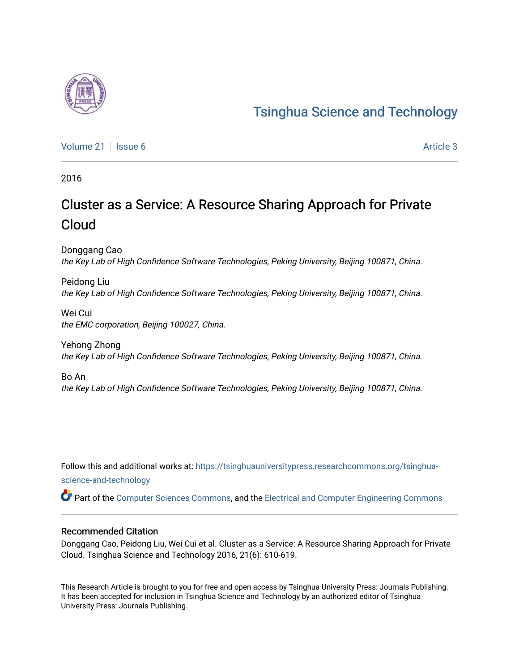# [Tsinghua Science and Technology](https://tsinghuauniversitypress.researchcommons.org/tsinghua-science-and-technology)

[Volume 21](https://tsinghuauniversitypress.researchcommons.org/tsinghua-science-and-technology/vol21) | [Issue 6](https://tsinghuauniversitypress.researchcommons.org/tsinghua-science-and-technology/vol21/iss6) Article 3

2016

# Cluster as a Service: A Resource Sharing Approach for Private Cloud

Donggang Cao the Key Lab of High Confidence Software Technologies, Peking University, Beijing 100871, China.

Peidong Liu the Key Lab of High Confidence Software Technologies, Peking University, Beijing 100871, China.

Wei Cui the EMC corporation, Beijing 100027, China.

Yehong Zhong the Key Lab of High Confidence Software Technologies, Peking University, Beijing 100871, China.

Bo An the Key Lab of High Confidence Software Technologies, Peking University, Beijing 100871, China.

Follow this and additional works at: [https://tsinghuauniversitypress.researchcommons.org/tsinghua](https://tsinghuauniversitypress.researchcommons.org/tsinghua-science-and-technology?utm_source=tsinghuauniversitypress.researchcommons.org%2Ftsinghua-science-and-technology%2Fvol21%2Fiss6%2F3&utm_medium=PDF&utm_campaign=PDFCoverPages)[science-and-technology](https://tsinghuauniversitypress.researchcommons.org/tsinghua-science-and-technology?utm_source=tsinghuauniversitypress.researchcommons.org%2Ftsinghua-science-and-technology%2Fvol21%2Fiss6%2F3&utm_medium=PDF&utm_campaign=PDFCoverPages)

Part of the [Computer Sciences Commons](http://network.bepress.com/hgg/discipline/142?utm_source=tsinghuauniversitypress.researchcommons.org%2Ftsinghua-science-and-technology%2Fvol21%2Fiss6%2F3&utm_medium=PDF&utm_campaign=PDFCoverPages), and the [Electrical and Computer Engineering Commons](http://network.bepress.com/hgg/discipline/266?utm_source=tsinghuauniversitypress.researchcommons.org%2Ftsinghua-science-and-technology%2Fvol21%2Fiss6%2F3&utm_medium=PDF&utm_campaign=PDFCoverPages)

# Recommended Citation

Donggang Cao, Peidong Liu, Wei Cui et al. Cluster as a Service: A Resource Sharing Approach for Private Cloud. Tsinghua Science and Technology 2016, 21(6): 610-619.

This Research Article is brought to you for free and open access by Tsinghua University Press: Journals Publishing. It has been accepted for inclusion in Tsinghua Science and Technology by an authorized editor of Tsinghua University Press: Journals Publishing.

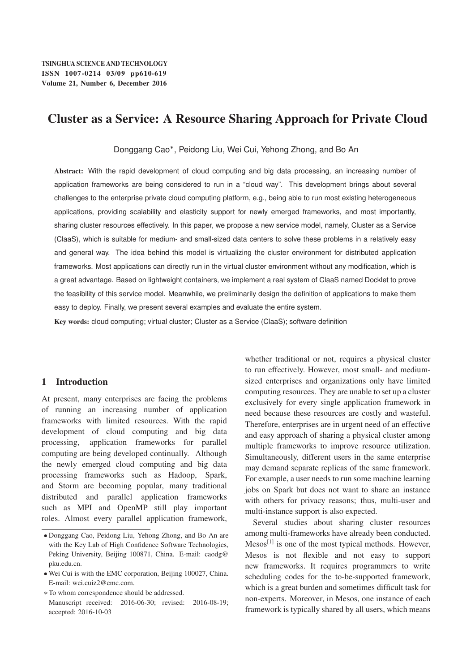# Cluster as a Service: A Resource Sharing Approach for Private Cloud

Donggang Cao\*, Peidong Liu, Wei Cui, Yehong Zhong, and Bo An

Abstract: With the rapid development of cloud computing and big data processing, an increasing number of application frameworks are being considered to run in a "cloud way". This development brings about several challenges to the enterprise private cloud computing platform, e.g., being able to run most existing heterogeneous applications, providing scalability and elasticity support for newly emerged frameworks, and most importantly, sharing cluster resources effectively. In this paper, we propose a new service model, namely, Cluster as a Service (ClaaS), which is suitable for medium- and small-sized data centers to solve these problems in a relatively easy and general way. The idea behind this model is virtualizing the cluster environment for distributed application frameworks. Most applications can directly run in the virtual cluster environment without any modification, which is a great advantage. Based on lightweight containers, we implement a real system of ClaaS named Docklet to prove the feasibility of this service model. Meanwhile, we preliminarily design the definition of applications to make them easy to deploy. Finally, we present several examples and evaluate the entire system.

Key words: cloud computing; virtual cluster; Cluster as a Service (ClaaS); software definition

# 1 Introduction

At present, many enterprises are facing the problems of running an increasing number of application frameworks with limited resources. With the rapid development of cloud computing and big data processing, application frameworks for parallel computing are being developed continually. Although the newly emerged cloud computing and big data processing frameworks such as Hadoop, Spark, and Storm are becoming popular, many traditional distributed and parallel application frameworks such as MPI and OpenMP still play important roles. Almost every parallel application framework,

whether traditional or not, requires a physical cluster to run effectively. However, most small- and mediumsized enterprises and organizations only have limited computing resources. They are unable to set up a cluster exclusively for every single application framework in need because these resources are costly and wasteful. Therefore, enterprises are in urgent need of an effective and easy approach of sharing a physical cluster among multiple frameworks to improve resource utilization. Simultaneously, different users in the same enterprise may demand separate replicas of the same framework. For example, a user needs to run some machine learning jobs on Spark but does not want to share an instance with others for privacy reasons; thus, multi-user and multi-instance support is also expected.

Several studies about sharing cluster resources among multi-frameworks have already been conducted.  $Mesos<sup>[1]</sup>$  is one of the most typical methods. However, Mesos is not flexible and not easy to support new frameworks. It requires programmers to write scheduling codes for the to-be-supported framework, which is a great burden and sometimes difficult task for non-experts. Moreover, in Mesos, one instance of each framework is typically shared by all users, which means

<sup>-</sup> Donggang Cao, Peidong Liu, Yehong Zhong, and Bo An are with the Key Lab of High Confidence Software Technologies, Peking University, Beijing 100871, China. E-mail: caodg@ pku.edu.cn.

<sup>-</sup> Wei Cui is with the EMC corporation, Beijing 100027, China. E-mail: wei.cuiz2@emc.com.

To whom correspondence should be addressed. Manuscript received: 2016-06-30; revised: 2016-08-19; accepted: 2016-10-03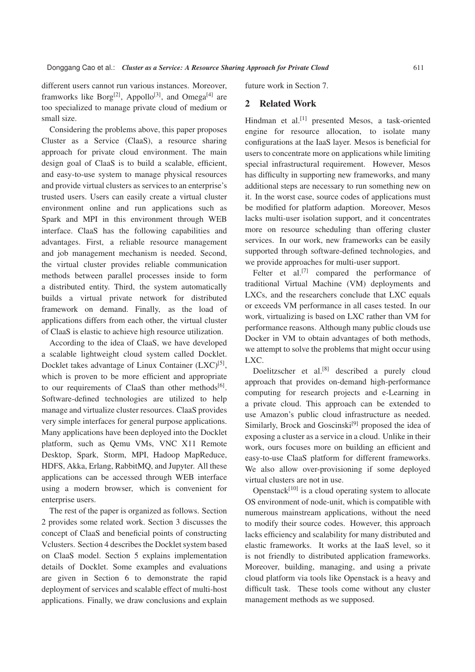Considering the problems above, this paper proposes Cluster as a Service (ClaaS), a resource sharing approach for private cloud environment. The main design goal of ClaaS is to build a scalable, efficient, and easy-to-use system to manage physical resources and provide virtual clusters as services to an enterprise's trusted users. Users can easily create a virtual cluster environment online and run applications such as Spark and MPI in this environment through WEB interface. ClaaS has the following capabilities and advantages. First, a reliable resource management and job management mechanism is needed. Second, the virtual cluster provides reliable communication methods between parallel processes inside to form a distributed entity. Third, the system automatically builds a virtual private network for distributed framework on demand. Finally, as the load of applications differs from each other, the virtual cluster of ClaaS is elastic to achieve high resource utilization.

According to the idea of ClaaS, we have developed a scalable lightweight cloud system called Docklet. Docklet takes advantage of Linux Container  $(LXC)^{[5]}$ , which is proven to be more efficient and appropriate to our requirements of ClaaS than other methods $[6]$ . Software-defined technologies are utilized to help manage and virtualize cluster resources. ClaaS provides very simple interfaces for general purpose applications. Many applications have been deployed into the Docklet platform, such as Qemu VMs, VNC X11 Remote Desktop, Spark, Storm, MPI, Hadoop MapReduce, HDFS, Akka, Erlang, RabbitMQ, and Jupyter. All these applications can be accessed through WEB interface using a modern browser, which is convenient for enterprise users.

The rest of the paper is organized as follows. Section 2 provides some related work. Section 3 discusses the concept of ClaaS and beneficial points of constructing Vclusters. Section 4 describes the Docklet system based on ClaaS model. Section 5 explains implementation details of Docklet. Some examples and evaluations are given in Section 6 to demonstrate the rapid deployment of services and scalable effect of multi-host applications. Finally, we draw conclusions and explain future work in Section 7.

### 2 Related Work

Hindman et al.<sup>[1]</sup> presented Mesos, a task-oriented engine for resource allocation, to isolate many configurations at the IaaS layer. Mesos is beneficial for users to concentrate more on applications while limiting special infrastructural requirement. However, Mesos has difficulty in supporting new frameworks, and many additional steps are necessary to run something new on it. In the worst case, source codes of applications must be modified for platform adaption. Moreover, Mesos lacks multi-user isolation support, and it concentrates more on resource scheduling than offering cluster services. In our work, new frameworks can be easily supported through software-defined technologies, and we provide approaches for multi-user support.

Felter et al.<sup>[7]</sup> compared the performance of traditional Virtual Machine (VM) deployments and LXCs, and the researchers conclude that LXC equals or exceeds VM performance in all cases tested. In our work, virtualizing is based on LXC rather than VM for performance reasons. Although many public clouds use Docker in VM to obtain advantages of both methods, we attempt to solve the problems that might occur using LXC.

Doelitzscher et al.[8] described a purely cloud approach that provides on-demand high-performance computing for research projects and e-Learning in a private cloud. This approach can be extended to use Amazon's public cloud infrastructure as needed. Similarly, Brock and Goscinski<sup>[9]</sup> proposed the idea of exposing a cluster as a service in a cloud. Unlike in their work, ours focuses more on building an efficient and easy-to-use ClaaS platform for different frameworks. We also allow over-provisioning if some deployed virtual clusters are not in use.

Openstack $[10]$  is a cloud operating system to allocate OS environment of node-unit, which is compatible with numerous mainstream applications, without the need to modify their source codes. However, this approach lacks efficiency and scalability for many distributed and elastic frameworks. It works at the IaaS level, so it is not friendly to distributed application frameworks. Moreover, building, managing, and using a private cloud platform via tools like Openstack is a heavy and difficult task. These tools come without any cluster management methods as we supposed.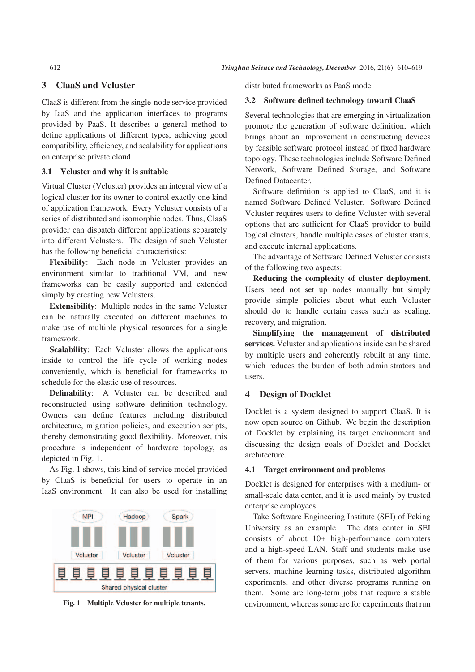## 3 ClaaS and Vcluster

ClaaS is different from the single-node service provided by IaaS and the application interfaces to programs provided by PaaS. It describes a general method to define applications of different types, achieving good compatibility, efficiency, and scalability for applications on enterprise private cloud.

#### 3.1 Vcluster and why it is suitable

Virtual Cluster (Vcluster) provides an integral view of a logical cluster for its owner to control exactly one kind of application framework. Every Vcluster consists of a series of distributed and isomorphic nodes. Thus, ClaaS provider can dispatch different applications separately into different Vclusters. The design of such Vcluster has the following beneficial characteristics:

Flexibility: Each node in Vcluster provides an environment similar to traditional VM, and new frameworks can be easily supported and extended simply by creating new Vclusters.

Extensibility: Multiple nodes in the same Vcluster can be naturally executed on different machines to make use of multiple physical resources for a single framework.

Scalability: Each Vcluster allows the applications inside to control the life cycle of working nodes conveniently, which is beneficial for frameworks to schedule for the elastic use of resources.

Definability: A Vcluster can be described and reconstructed using software definition technology. Owners can define features including distributed architecture, migration policies, and execution scripts, thereby demonstrating good flexibility. Moreover, this procedure is independent of hardware topology, as depicted in Fig. 1.

As Fig. 1 shows, this kind of service model provided by ClaaS is beneficial for users to operate in an IaaS environment. It can also be used for installing



Fig. 1 Multiple Vcluster for multiple tenants.

distributed frameworks as PaaS mode.

#### 3.2 Software defined technology toward ClaaS

Several technologies that are emerging in virtualization promote the generation of software definition, which brings about an improvement in constructing devices by feasible software protocol instead of fixed hardware topology. These technologies include Software Defined Network, Software Defined Storage, and Software Defined Datacenter.

Software definition is applied to ClaaS, and it is named Software Defined Vcluster. Software Defined Vcluster requires users to define Vcluster with several options that are sufficient for ClaaS provider to build logical clusters, handle multiple cases of cluster status, and execute internal applications.

The advantage of Software Defined Vcluster consists of the following two aspects:

Reducing the complexity of cluster deployment. Users need not set up nodes manually but simply provide simple policies about what each Vcluster should do to handle certain cases such as scaling, recovery, and migration.

Simplifying the management of distributed services. Vcluster and applications inside can be shared by multiple users and coherently rebuilt at any time, which reduces the burden of both administrators and users.

#### 4 Design of Docklet

Docklet is a system designed to support ClaaS. It is now open source on Github. We begin the description of Docklet by explaining its target environment and discussing the design goals of Docklet and Docklet architecture.

#### 4.1 Target environment and problems

Docklet is designed for enterprises with a medium- or small-scale data center, and it is used mainly by trusted enterprise employees.

Take Software Engineering Institute (SEI) of Peking University as an example. The data center in SEI consists of about 10+ high-performance computers and a high-speed LAN. Staff and students make use of them for various purposes, such as web portal servers, machine learning tasks, distributed algorithm experiments, and other diverse programs running on them. Some are long-term jobs that require a stable environment, whereas some are for experiments that run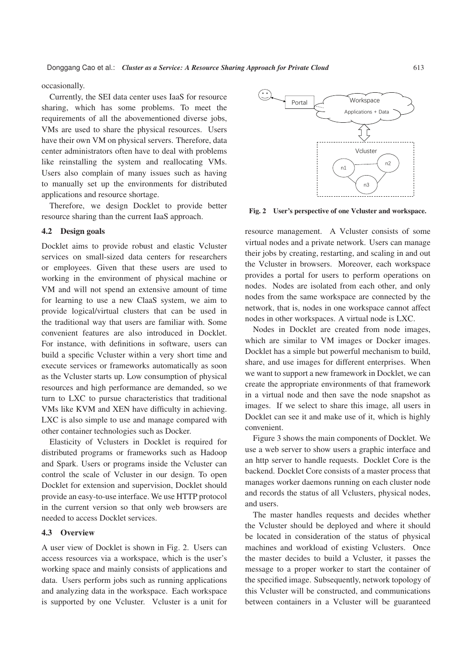occasionally.

Currently, the SEI data center uses IaaS for resource sharing, which has some problems. To meet the requirements of all the abovementioned diverse jobs, VMs are used to share the physical resources. Users have their own VM on physical servers. Therefore, data center administrators often have to deal with problems like reinstalling the system and reallocating VMs. Users also complain of many issues such as having to manually set up the environments for distributed applications and resource shortage.

Therefore, we design Docklet to provide better resource sharing than the current IaaS approach.

#### 4.2 Design goals

Docklet aims to provide robust and elastic Vcluster services on small-sized data centers for researchers or employees. Given that these users are used to working in the environment of physical machine or VM and will not spend an extensive amount of time for learning to use a new ClaaS system, we aim to provide logical/virtual clusters that can be used in the traditional way that users are familiar with. Some convenient features are also introduced in Docklet. For instance, with definitions in software, users can build a specific Vcluster within a very short time and execute services or frameworks automatically as soon as the Vcluster starts up. Low consumption of physical resources and high performance are demanded, so we turn to LXC to pursue characteristics that traditional VMs like KVM and XEN have difficulty in achieving. LXC is also simple to use and manage compared with other container technologies such as Docker.

Elasticity of Vclusters in Docklet is required for distributed programs or frameworks such as Hadoop and Spark. Users or programs inside the Vcluster can control the scale of Vcluster in our design. To open Docklet for extension and supervision, Docklet should provide an easy-to-use interface. We use HTTP protocol in the current version so that only web browsers are needed to access Docklet services.

#### 4.3 Overview

A user view of Docklet is shown in Fig. 2. Users can access resources via a workspace, which is the user's working space and mainly consists of applications and data. Users perform jobs such as running applications and analyzing data in the workspace. Each workspace is supported by one Vcluster. Vcluster is a unit for



Fig. 2 User's perspective of one Vcluster and workspace.

resource management. A Vcluster consists of some virtual nodes and a private network. Users can manage their jobs by creating, restarting, and scaling in and out the Vcluster in browsers. Moreover, each workspace provides a portal for users to perform operations on nodes. Nodes are isolated from each other, and only nodes from the same workspace are connected by the network, that is, nodes in one workspace cannot affect nodes in other workspaces. A virtual node is LXC.

Nodes in Docklet are created from node images, which are similar to VM images or Docker images. Docklet has a simple but powerful mechanism to build, share, and use images for different enterprises. When we want to support a new framework in Docklet, we can create the appropriate environments of that framework in a virtual node and then save the node snapshot as images. If we select to share this image, all users in Docklet can see it and make use of it, which is highly convenient.

Figure 3 shows the main components of Docklet. We use a web server to show users a graphic interface and an http server to handle requests. Docklet Core is the backend. Docklet Core consists of a master process that manages worker daemons running on each cluster node and records the status of all Vclusters, physical nodes, and users.

The master handles requests and decides whether the Vcluster should be deployed and where it should be located in consideration of the status of physical machines and workload of existing Vclusters. Once the master decides to build a Vcluster, it passes the message to a proper worker to start the container of the specified image. Subsequently, network topology of this Vcluster will be constructed, and communications between containers in a Vcluster will be guaranteed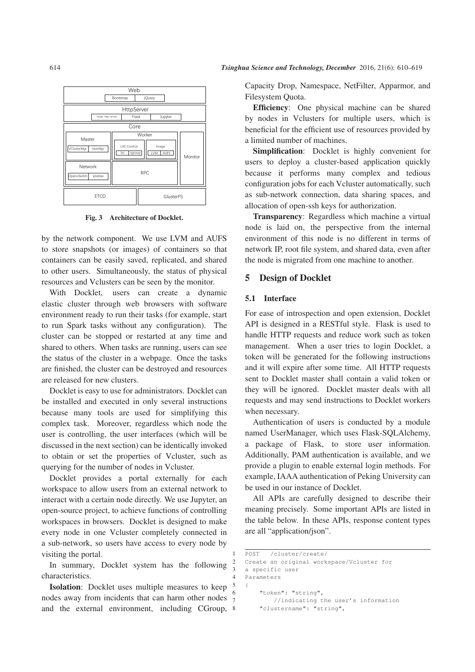

Fig. 3 Architecture of Docklet.

by the network component. We use LVM and AUFS to store snapshots (or images) of containers so that containers can be easily saved, replicated, and shared to other users. Simultaneously, the status of physical resources and Vclusters can be seen by the monitor.

With Docklet, users can create a dynamic elastic cluster through web browsers with software environment ready to run their tasks (for example, start to run Spark tasks without any configuration). The cluster can be stopped or restarted at any time and shared to others. When tasks are running, users can see the status of the cluster in a webpage. Once the tasks are finished, the cluster can be destroyed and resources are released for new clusters.

Docklet is easy to use for administrators. Docklet can be installed and executed in only several instructions because many tools are used for simplifying this complex task. Moreover, regardless which node the user is controlling, the user interfaces (which will be discussed in the next section) can be identically invoked to obtain or set the properties of Vcluster, such as querying for the number of nodes in Vcluster.

Docklet provides a portal externally for each workspace to allow users from an external network to interact with a certain node directly. We use Jupyter, an open-source project, to achieve functions of controlling workspaces in browsers. Docklet is designed to make every node in one Vcluster completely connected in a sub-network, so users have access to every node by visiting the portal.

In summary, Docklet system has the following characteristics.

Isolation: Docklet uses multiple measures to keep nodes away from incidents that can harm other nodes and the external environment, including CGroup, Capacity Drop, Namespace, NetFilter, Apparmor, and Filesystem Quota.

Efficiency: One physical machine can be shared by nodes in Vclusters for multiple users, which is beneficial for the efficient use of resources provided by a limited number of machines.

Simplification: Docklet is highly convenient for users to deploy a cluster-based application quickly because it performs many complex and tedious configuration jobs for each Vcluster automatically, such as sub-network connection, data sharing spaces, and allocation of open-ssh keys for authorization.

Transparency: Regardless which machine a virtual node is laid on, the perspective from the internal environment of this node is no different in terms of network IP, root file system, and shared data, even after the node is migrated from one machine to another.

### 5 Design of Docklet

#### 5.1 Interface

For ease of introspection and open extension, Docklet API is designed in a RESTful style. Flask is used to handle HTTP requests and reduce work such as token management. When a user tries to login Docklet, a token will be generated for the following instructions and it will expire after some time. All HTTP requests sent to Docklet master shall contain a valid token or they will be ignored. Docklet master deals with all requests and may send instructions to Docklet workers when necessary.

Authentication of users is conducted by a module named UserManager, which uses Flask-SQLAlchemy, a package of Flask, to store user information. Additionally, PAM authentication is available, and we provide a plugin to enable external login methods. For example, IAAA authentication of Peking University can be used in our instance of Docklet.

All APIs are carefully designed to describe their meaning precisely. Some important APIs are listed in the table below. In these APIs, response content types are all "application/json".

```
1 POST /cluster/create/
2 Create an original workspace/Vcluster for
   3 a specific user
4 Parameters
5 {
       "token": "string",
           7 //indicating the user's information
       "clustername": "string",
```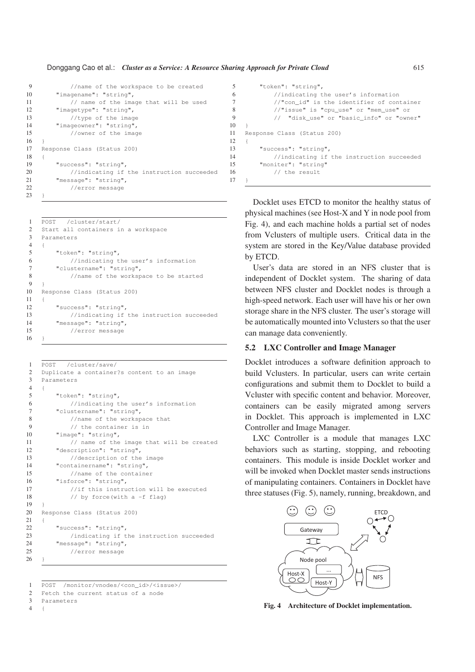Donggang Cao et al.: *Cluster as a Service: A Resource Sharing Approach for Private Cloud* 615

```
9 //name of the workspace to be created
10 "imagename": "string",
11 // name of the image that will be used
12 "imagetype": "string",
13 //type of the image
14 "imageowner": "string",
15 //owner of the image
16 \quad \exists17 Response Class (Status 200)
18 {
19 "success": "string",
20 //indicating if the instruction succeeded
21 "message": "string",
22 //error message
23 }
                                                 17 }
```

```
1 POST /cluster/start/
2 Start all containers in a workspace
3 Parameters
\overline{4}5 "token": "string",
6 //indicating the user's information
7 "clustername": "string",
8 //name of the workspace to be started
9 }
10 Response Class (Status 200)
11 {
12 "success": "string",
13 //indicating if the instruction succeeded
14 "message": "string",
15 //error message
16 }
```

```
1 POST /cluster/save/
2 Duplicate a container?s content to an image
3 Parameters
4 {
5 "token": "string",
6 //indicating the user's information
7 "clustername": "string",
8 //name of the workspace that
9 // the container is in
10 "image": "string",
11 // name of the image that will be created
12 "description": "string",
13 //description of the image
14 "containername": "string",
15 //name of the container
16 "isforce": "string",
17 //if this instruction will be executed
18 \frac{1}{2} by force (with a -f flag)
19 }
20 Response Class (Status 200)
\begin{array}{cc} 21 & \text{f} \\ 22 & \text{f} \end{array}"success": "string",
23 /indicating if the instruction succeeded
24 "message": "string",
25 //error message
26 }
```

```
3 Parameters
```
 $\overline{4}$ 

```
5 "token": "string",
6 //indicating the user's information
7 //"con_id" is the identifier of container
8 //"issue" is "cpu_use" or "mem_use" or
9 // "disk_use" or "basic_info" or "owner"
10 \rightarrow11 Response Class (Status 200)
12 \t 1213 "success": "string",
14 //indicating if the instruction succeeded
15 "moniter": "string"
16 // the result
```
Docklet uses ETCD to monitor the healthy status of physical machines (see Host-X and Y in node pool from Fig. 4), and each machine holds a partial set of nodes from Vclusters of multiple users. Critical data in the system are stored in the Key/Value database provided by ETCD.

User's data are stored in an NFS cluster that is independent of Docklet system. The sharing of data between NFS cluster and Docklet nodes is through a high-speed network. Each user will have his or her own storage share in the NFS cluster. The user's storage will be automatically mounted into Vclusters so that the user can manage data conveniently.

#### 5.2 LXC Controller and Image Manager

Docklet introduces a software definition approach to build Vclusters. In particular, users can write certain configurations and submit them to Docklet to build a Vcluster with specific content and behavior. Moreover, containers can be easily migrated among servers in Docklet. This approach is implemented in LXC Controller and Image Manager.

LXC Controller is a module that manages LXC behaviors such as starting, stopping, and rebooting containers. This module is inside Docklet worker and will be invoked when Docklet master sends instructions of manipulating containers. Containers in Docklet have three statuses (Fig. 5), namely, running, breakdown, and



Fig. 4 Architecture of Docklet implementation.

<sup>1</sup> POST /monitor/vnodes/<con\_id>/<issue>/

<sup>2</sup> Fetch the current status of a node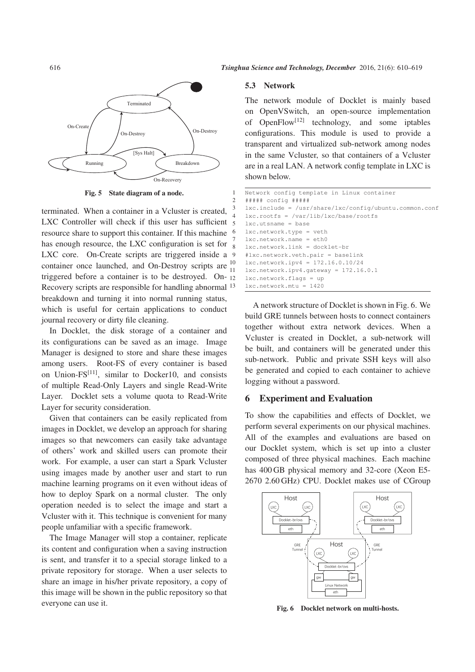

Fig. 5 State diagram of a node.

terminated. When a container in a Vcluster is created, LXC Controller will check if this user has sufficient 5 resource share to support this container. If this machine has enough resource, the LXC configuration is set for  $\frac{1}{8}$ LXC core. On-Create scripts are triggered inside a 9 container once launched, and On-Destroy scripts are triggered before a container is to be destroyed. On- $\frac{1}{12}$ Recovery scripts are responsible for handling abnormal <sup>13</sup> breakdown and turning it into normal running status, which is useful for certain applications to conduct journal recovery or dirty file cleaning.

In Docklet, the disk storage of a container and its configurations can be saved as an image. Image Manager is designed to store and share these images among users. Root-FS of every container is based on Union- $FS^{[11]}$ , similar to Docker10, and consists of multiple Read-Only Layers and single Read-Write Layer. Docklet sets a volume quota to Read-Write Layer for security consideration.

Given that containers can be easily replicated from images in Docklet, we develop an approach for sharing images so that newcomers can easily take advantage of others' work and skilled users can promote their work. For example, a user can start a Spark Vcluster using images made by another user and start to run machine learning programs on it even without ideas of how to deploy Spark on a normal cluster. The only operation needed is to select the image and start a Vcluster with it. This technique is convenient for many people unfamiliar with a specific framework.

The Image Manager will stop a container, replicate its content and configuration when a saving instruction is sent, and transfer it to a special storage linked to a private repository for storage. When a user selects to share an image in his/her private repository, a copy of this image will be shown in the public repository so that everyone can use it.

616 *Tsinghua Science and Technology, December* 2016, 21(6): 610–619

#### 5.3 Network

The network module of Docklet is mainly based on OpenVSwitch, an open-source implementation of OpenFlow<sup>[12]</sup> technology, and some iptables configurations. This module is used to provide a transparent and virtualized sub-network among nodes in the same Vcluster, so that containers of a Vcluster are in a real LAN. A network config template in LXC is shown below.

Network config template in Linux container 2 ##### config ##### 3 lxc.include = /usr/share/lxc/config/ubuntu.common.conf  $lxc(roots = /var/lib/lxc/base/rootfs$  $lxc.utsname = base$ 6 lxc.network.type = veth lxc.network.name = eth0 8 lxc.network.link = docklet-br #lxc.network.veth.pair = baselink  $lxc.network.ipv4 = 172.16.0.10/24$  $lxc.network.jpg .qateway = 172.16.0.1$ 12 lxc.network.flags = up  $lxc.network.mtu = 1420$ 

A network structure of Docklet is shown in Fig. 6. We build GRE tunnels between hosts to connect containers together without extra network devices. When a Vcluster is created in Docklet, a sub-network will be built, and containers will be generated under this sub-network. Public and private SSH keys will also be generated and copied to each container to achieve logging without a password.

#### 6 Experiment and Evaluation

To show the capabilities and effects of Docklet, we perform several experiments on our physical machines. All of the examples and evaluations are based on our Docklet system, which is set up into a cluster composed of three physical machines. Each machine has 400 GB physical memory and 32-core (Xeon E5- 2670 2.60 GHz) CPU. Docklet makes use of CGroup



Fig. 6 Docklet network on multi-hosts.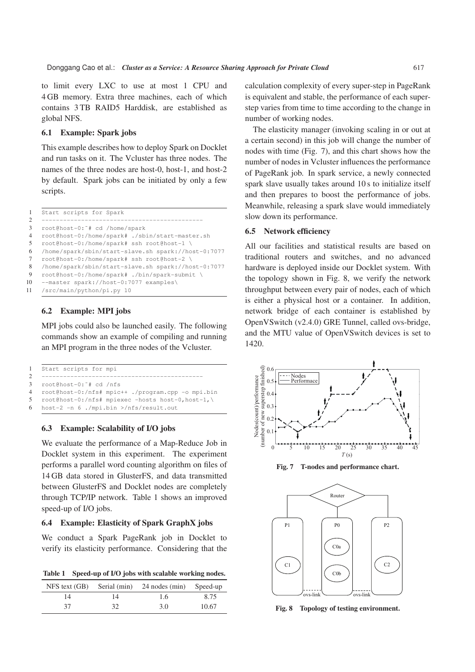to limit every LXC to use at most 1 CPU and 4 GB memory. Extra three machines, each of which contains 3 TB RAID5 Harddisk, are established as global NFS.

#### 6.1 Example: Spark jobs

This example describes how to deploy Spark on Docklet and run tasks on it. The Vcluster has three nodes. The names of the three nodes are host-0, host-1, and host-2 by default. Spark jobs can be initiated by only a few scripts.

|               | Start scripts for Spark                             |
|---------------|-----------------------------------------------------|
| $\mathcal{D}$ |                                                     |
| 3             | root@host-0:"# cd /home/spark                       |
| 4             | root@host-0:/home/spark# ./sbin/start-master.sh     |
| 5             | root@host-0:/home/spark# ssh root@host-1 \          |
| 6             | /home/spark/sbin/start-slave.sh spark://host-0:7077 |
| 7             | root@host-0:/home/spark# ssh root@host-2 \          |
| 8             | /home/spark/sbin/start-slave.sh spark://host-0:7077 |
| 9             | root@host-0:/home/spark# ./bin/spark-submit \       |
| 10            | --master spark://host-0:7077 examples\              |
| 11            | /src/main/python/pi.py 10                           |

#### 6.2 Example: MPI jobs

MPI jobs could also be launched easily. The following commands show an example of compiling and running an MPI program in the three nodes of the Vcluster.

|   | 1 Start scripts for mpi                             |
|---|-----------------------------------------------------|
| 2 |                                                     |
|   | 3 root@host-0:~# cd /nfs                            |
|   | 4 root@host-0:/nfs# mpic++ ./program.cpp -o mpi.bin |
|   | 5 root@host-0:/nfs# mpiexec -hosts host-0,host-1,\  |
|   | $6$ host-2 -n $6$ ./mpi.bin >/nfs/result.out        |

#### 6.3 Example: Scalability of I/O jobs

We evaluate the performance of a Map-Reduce Job in Docklet system in this experiment. The experiment performs a parallel word counting algorithm on files of 14 GB data stored in GlusterFS, and data transmitted between GlusterFS and Docklet nodes are completely through TCP/IP network. Table 1 shows an improved speed-up of I/O jobs.

#### 6.4 Example: Elasticity of Spark GraphX jobs

We conduct a Spark PageRank job in Docklet to verify its elasticity performance. Considering that the

Table 1 Speed-up of I/O jobs with scalable working nodes.

|    |    | NFS text (GB) Serial (min) 24 nodes (min) Speed-up |       |
|----|----|----------------------------------------------------|-------|
| 14 | 14 | 1.6                                                | 8.75  |
| 37 | 32 | 3.0                                                | 10.67 |

calculation complexity of every super-step in PageRank is equivalent and stable, the performance of each superstep varies from time to time according to the change in number of working nodes.

The elasticity manager (invoking scaling in or out at a certain second) in this job will change the number of nodes with time (Fig. 7), and this chart shows how the number of nodes in Vcluster influences the performance of PageRank job. In spark service, a newly connected spark slave usually takes around 10 s to initialize itself and then prepares to boost the performance of jobs. Meanwhile, releasing a spark slave would immediately slow down its performance.

#### 6.5 Network efficiency

All our facilities and statistical results are based on traditional routers and switches, and no advanced hardware is deployed inside our Docklet system. With the topology shown in Fig. 8, we verify the network throughput between every pair of nodes, each of which is either a physical host or a container. In addition, network bridge of each container is established by OpenVSwitch (v2.4.0) GRE Tunnel, called ovs-bridge, and the MTU value of OpenVSwitch devices is set to 1420.



Fig. 7 T-nodes and performance chart.



Fig. 8 Topology of testing environment.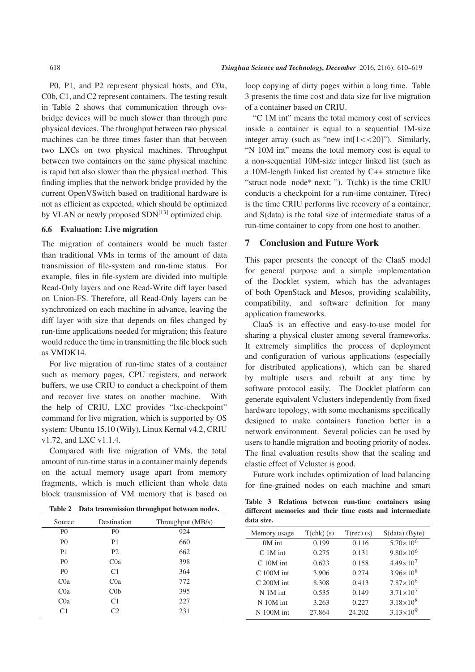P0, P1, and P2 represent physical hosts, and C0a, C0b, C1, and C2 represent containers. The testing result in Table 2 shows that communication through ovsbridge devices will be much slower than through pure physical devices. The throughput between two physical machines can be three times faster than that between two LXCs on two physical machines. Throughput between two containers on the same physical machine is rapid but also slower than the physical method. This finding implies that the network bridge provided by the current OpenVSwitch based on traditional hardware is not as efficient as expected, which should be optimized by VLAN or newly proposed  $SDN^{[13]}$  optimized chip.

#### 6.6 Evaluation: Live migration

The migration of containers would be much faster than traditional VMs in terms of the amount of data transmission of file-system and run-time status. For example, files in file-system are divided into multiple Read-Only layers and one Read-Write diff layer based on Union-FS. Therefore, all Read-Only layers can be synchronized on each machine in advance, leaving the diff layer with size that depends on files changed by run-time applications needed for migration; this feature would reduce the time in transmitting the file block such as VMDK14.

For live migration of run-time states of a container such as memory pages, CPU registers, and network buffers, we use CRIU to conduct a checkpoint of them and recover live states on another machine. With the help of CRIU, LXC provides "lxc-checkpoint" command for live migration, which is supported by OS system: Ubuntu 15.10 (Wily), Linux Kernal v4.2, CRIU v1.72, and LXC v1.1.4.

Compared with live migration of VMs, the total amount of run-time status in a container mainly depends on the actual memory usage apart from memory fragments, which is much efficient than whole data block transmission of VM memory that is based on

Table 2 Data transmission throughput between nodes.

| Source         | Destination      | Throughput (MB/s) |
|----------------|------------------|-------------------|
| P <sub>0</sub> | P <sub>0</sub>   | 924               |
| P <sub>0</sub> | P <sub>1</sub>   | 660               |
| P <sub>1</sub> | P <sub>2</sub>   | 662               |
| P <sub>0</sub> | Coa              | 398               |
| P <sub>0</sub> | C <sub>1</sub>   | 364               |
| Coa            | Coa              | 772               |
| Coa            | C <sub>0</sub> b | 395               |
| Coa            | C <sub>1</sub>   | 227               |
| C1             | C <sub>2</sub>   | 231               |

loop copying of dirty pages within a long time. Table 3 presents the time cost and data size for live migration of a container based on CRIU.

"C 1M int" means the total memory cost of services inside a container is equal to a sequential 1M-size integer array (such as "new int $[1 << 20]$ "). Similarly, "N 10M int" means the total memory cost is equal to a non-sequential 10M-size integer linked list (such as a 10M-length linked list created by C++ structure like "struct node node\* next; "). T(chk) is the time CRIU conducts a checkpoint for a run-time container, T(rec) is the time CRIU performs live recovery of a container, and S(data) is the total size of intermediate status of a run-time container to copy from one host to another.

#### 7 Conclusion and Future Work

This paper presents the concept of the ClaaS model for general purpose and a simple implementation of the Docklet system, which has the advantages of both OpenStack and Mesos, providing scalability, compatibility, and software definition for many application frameworks.

ClaaS is an effective and easy-to-use model for sharing a physical cluster among several frameworks. It extremely simplifies the process of deployment and configuration of various applications (especially for distributed applications), which can be shared by multiple users and rebuilt at any time by software protocol easily. The Docklet platform can generate equivalent Vclusters independently from fixed hardware topology, with some mechanisms specifically designed to make containers function better in a network environment. Several policies can be used by users to handle migration and booting priority of nodes. The final evaluation results show that the scaling and elastic effect of Vcluster is good.

Future work includes optimization of load balancing for fine-grained nodes on each machine and smart

Table 3 Relations between run-time containers using different memories and their time costs and intermediate data size.

| Memory usage    | $T(chk)$ (s) | $T$ (rec) (s) | $S(data)$ (Byte)   |
|-----------------|--------------|---------------|--------------------|
| 0M int          | 0.199        | 0.116         | $5.70\times10^{6}$ |
| C 1M int        | 0.275        | 0.131         | $9.80\times10^{6}$ |
| $C$ 10M int     | 0.623        | 0.158         | $4.49\times10^{7}$ |
| $C$ 100M int    | 3.906        | 0.274         | $3.96 \times 10^8$ |
| $C200M$ int     | 8.308        | 0.413         | $7.87\times10^{8}$ |
| N 1M int        | 0.535        | 0.149         | $3.71 \times 10^7$ |
| N 10M int       | 3.263        | 0.227         | $3.18 \times 10^8$ |
| $N$ 100 $M$ int | 27.864       | 24.202        | $3.13\times10^{9}$ |